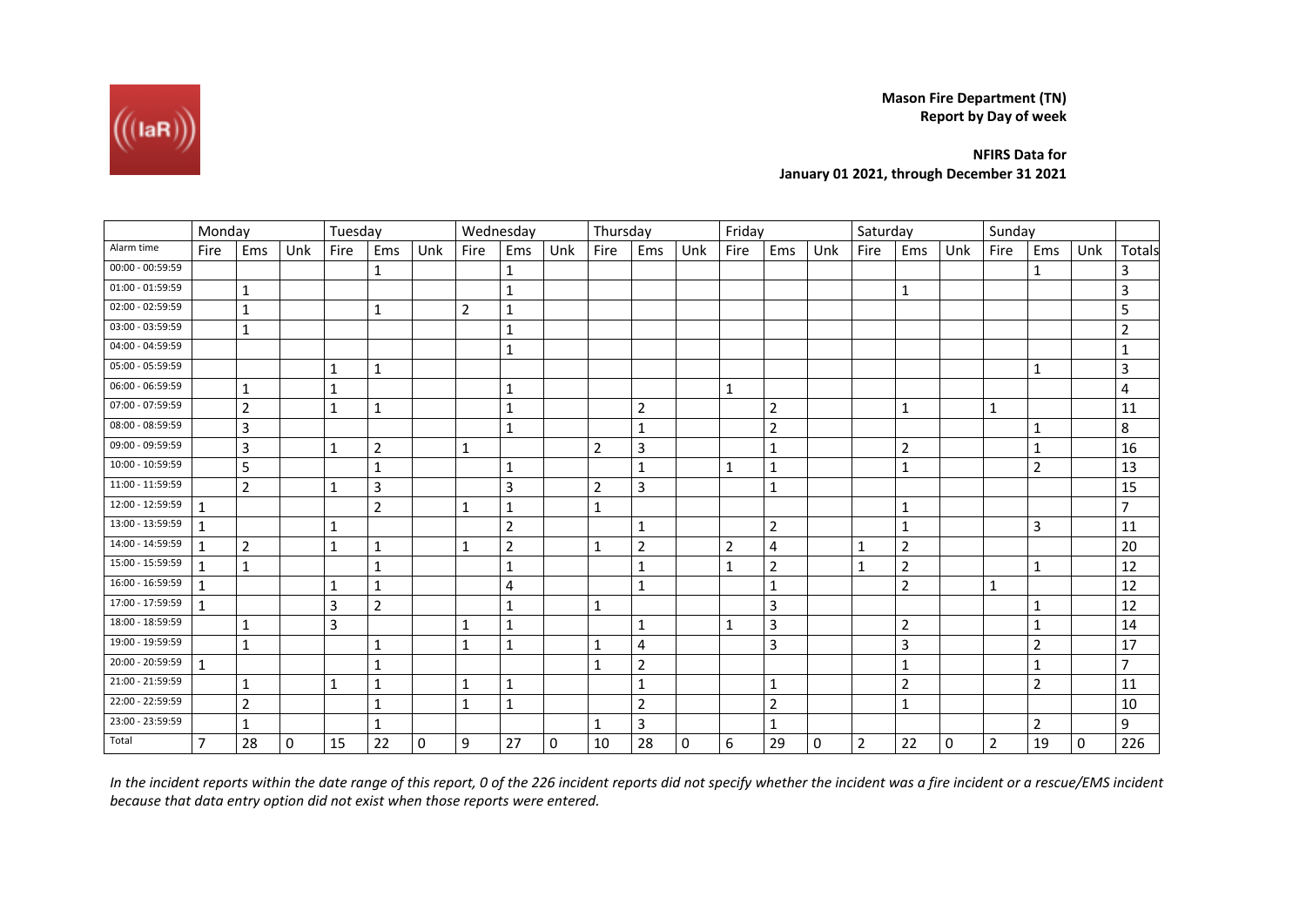**Mason Fire Department (TN) Report by Day of week**

**NFIRS Data for January 01 2021, through December 31 2021**

|                    | Monday         |                |             | Tuesday      |                |             | Wednesday      |                |          | Thursday       |                |     | Friday         |                |             | Saturday       |                |             | Sunday         |                |          |                |
|--------------------|----------------|----------------|-------------|--------------|----------------|-------------|----------------|----------------|----------|----------------|----------------|-----|----------------|----------------|-------------|----------------|----------------|-------------|----------------|----------------|----------|----------------|
| Alarm time         | Fire           | Ems            | Unk         | Fire         | Ems            | Unk         | Fire           | Ems            | Unk      | Fire           | Ems            | Unk | Fire           | Ems            | Unk         | Fire           | Ems            | Unk         | Fire           | Ems            | Unk      | Totals         |
| $00:00 - 00:59:59$ |                |                |             |              | 1              |             |                | 1              |          |                |                |     |                |                |             |                |                |             |                | 1              |          | 3              |
| $01:00 - 01:59:59$ |                | 1              |             |              |                |             |                | 1              |          |                |                |     |                |                |             |                | 1              |             |                |                |          | 3              |
| 02:00 - 02:59:59   |                | 1              |             |              | $\mathbf{1}$   |             | $\overline{2}$ | $\mathbf{1}$   |          |                |                |     |                |                |             |                |                |             |                |                |          | 5              |
| 03:00 - 03:59:59   |                | $\mathbf{1}$   |             |              |                |             |                | $\mathbf 1$    |          |                |                |     |                |                |             |                |                |             |                |                |          | $\overline{2}$ |
| 04:00 - 04:59:59   |                |                |             |              |                |             |                | 1              |          |                |                |     |                |                |             |                |                |             |                |                |          | 1              |
| 05:00 - 05:59:59   |                |                |             | 1            | 1              |             |                |                |          |                |                |     |                |                |             |                |                |             |                | $\mathbf{1}$   |          | 3              |
| 06:00 - 06:59:59   |                | 1              |             | $\mathbf 1$  |                |             |                | $\mathbf 1$    |          |                |                |     | $\mathbf 1$    |                |             |                |                |             |                |                |          | 4              |
| 07:00 - 07:59:59   |                | $\overline{2}$ |             | $\mathbf 1$  | $\mathbf{1}$   |             |                | $\mathbf{1}$   |          |                | $\overline{2}$ |     |                | $\overline{2}$ |             |                | $\mathbf{1}$   |             | 1              |                |          | 11             |
| 08:00 - 08:59:59   |                | 3              |             |              |                |             |                | 1              |          |                | 1              |     |                | $\overline{2}$ |             |                |                |             |                | 1              |          | 8              |
| 09:00 - 09:59:59   |                | 3              |             | 1            | $\overline{2}$ |             | 1              |                |          | $\overline{2}$ | 3              |     |                | 1              |             |                | $\mathbf 2$    |             |                | 1              |          | 16             |
| 10:00 - 10:59:59   |                | 5              |             |              | 1              |             |                | 1              |          |                | 1              |     | 1              | 1              |             |                | $\mathbf{1}$   |             |                | $\overline{2}$ |          | 13             |
| 11:00 - 11:59:59   |                | $\overline{2}$ |             | 1            | $\overline{3}$ |             |                | 3              |          | $\overline{2}$ | 3              |     |                | 1              |             |                |                |             |                |                |          | 15             |
| 12:00 - 12:59:59   | $\mathbf{1}$   |                |             |              | $\overline{2}$ |             | 1              | $\mathbf{1}$   |          | 1              |                |     |                |                |             |                | 1              |             |                |                |          | $\overline{7}$ |
| 13:00 - 13:59:59   |                |                |             | $\mathbf 1$  |                |             |                | $\overline{2}$ |          |                | $\mathbf 1$    |     |                | $\overline{2}$ |             |                | $\mathbf 1$    |             |                | 3              |          | 11             |
| 14:00 - 14:59:59   | $\mathbf{1}$   | $\overline{2}$ |             | $\mathbf 1$  | $\mathbf 1$    |             | $\mathbf{1}$   | $\overline{2}$ |          | 1              | $\overline{2}$ |     | $\overline{2}$ | 4              |             | 1              | $\overline{2}$ |             |                |                |          | 20             |
| 15:00 - 15:59:59   | $\mathbf{1}$   | $\mathbf{1}$   |             |              | $\mathbf{1}$   |             |                | $\mathbf{1}$   |          |                | $\mathbf 1$    |     | $\mathbf{1}$   | $\overline{2}$ |             | $\mathbf{1}$   | $\overline{2}$ |             |                | 1              |          | 12             |
| 16:00 - 16:59:59   | $\mathbf{1}$   |                |             | 1            | 1              |             |                | 4              |          |                | 1              |     |                | 1              |             |                | 2              |             | 1              |                |          | 12             |
| 17:00 - 17:59:59   | $\mathbf{1}$   |                |             | 3            | $\overline{2}$ |             |                | 1              |          | 1              |                |     |                | 3              |             |                |                |             |                | 1              |          | 12             |
| 18:00 - 18:59:59   |                | 1              |             | 3            |                |             | 1              | $\mathbf{1}$   |          |                | 1              |     | 1              | 3              |             |                | 2              |             |                | 1              |          | 14             |
| 19:00 - 19:59:59   |                | $\mathbf{1}$   |             |              | $\mathbf{1}$   |             | $\mathbf{1}$   | $\mathbf{1}$   |          | $\mathbf{1}$   | 4              |     |                | 3              |             |                | 3              |             |                | $\overline{2}$ |          | 17             |
| 20:00 - 20:59:59   | $\mathbf{1}$   |                |             |              | $\mathbf{1}$   |             |                |                |          | 1              | $\sqrt{2}$     |     |                |                |             |                | 1              |             |                | $\mathbf 1$    |          | $\overline{7}$ |
| 21:00 - 21:59:59   |                | 1              |             | $\mathbf{1}$ | 1              |             | $\mathbf{1}$   | $1\,$          |          |                | 1              |     |                | 1              |             |                | $\overline{2}$ |             |                | $\overline{2}$ |          | 11             |
| 22:00 - 22:59:59   |                | $\overline{2}$ |             |              | $\mathbf{1}$   |             | 1              | $\mathbf{1}$   |          |                | $\overline{2}$ |     |                | 2              |             |                | $\mathbf{1}$   |             |                |                |          | 10             |
| 23:00 - 23:59:59   |                | 1              |             |              | 1              |             |                |                |          | 1              | 3              |     |                | 1              |             |                |                |             |                | $\overline{2}$ |          | 9              |
| Total              | $\overline{7}$ | 28             | $\mathbf 0$ | 15           | 22             | $\mathbf 0$ | 9              | 27             | $\Omega$ | 10             | 28             | 0   | 6              | 29             | $\mathbf 0$ | $\overline{2}$ | 22             | $\mathbf 0$ | $\overline{2}$ | 19             | $\Omega$ | 226            |

In the incident reports within the date range of this report, 0 of the 226 incident reports did not specify whether the incident was a fire incident or a rescue/EMS incident *because that data entry option did not exist when those reports were entered.*

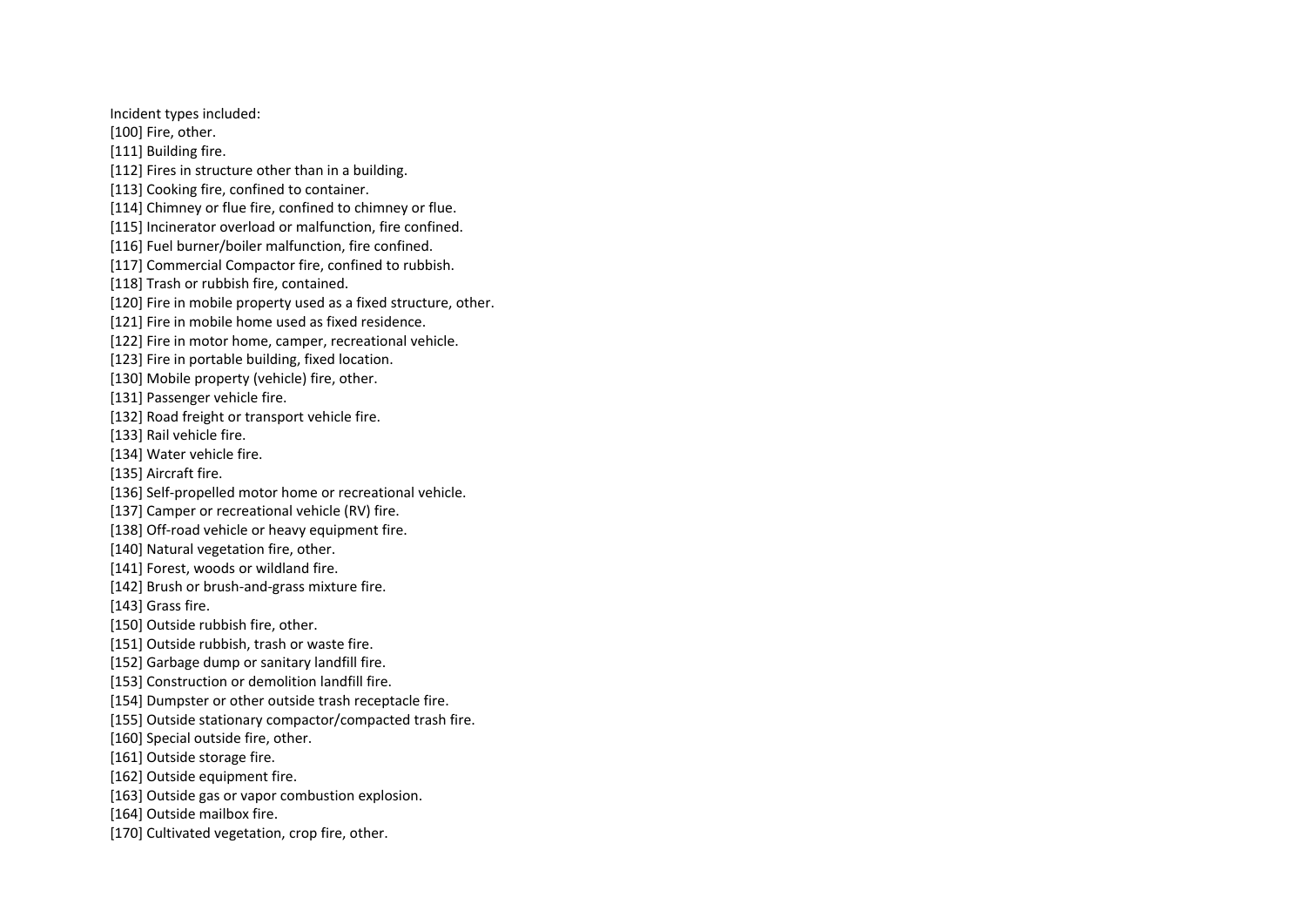Incident types included:

[100] Fire, other.

[111] Building fire.

- [112] Fires in structure other than in a building.
- [113] Cooking fire, confined to container.
- [114] Chimney or flue fire, confined to chimney or flue.
- [115] Incinerator overload or malfunction, fire confined.
- [116] Fuel burner/boiler malfunction, fire confined.
- [117] Commercial Compactor fire, confined to rubbish.
- [118] Trash or rubbish fire, contained.
- [120] Fire in mobile property used as a fixed structure, other.
- [121] Fire in mobile home used as fixed residence.
- [122] Fire in motor home, camper, recreational vehicle.
- [123] Fire in portable building, fixed location.
- [130] Mobile property (vehicle) fire, other.
- [131] Passenger vehicle fire.
- [132] Road freight or transport vehicle fire.
- [133] Rail vehicle fire.
- [134] Water vehicle fire.
- [135] Aircraft fire.
- [136] Self-propelled motor home or recreational vehicle.
- [137] Camper or recreational vehicle (RV) fire.
- [138] Off-road vehicle or heavy equipment fire.
- [140] Natural vegetation fire, other.
- [141] Forest, woods or wildland fire.
- [142] Brush or brush-and-grass mixture fire.
- [143] Grass fire.
- [150] Outside rubbish fire, other.
- [151] Outside rubbish, trash or waste fire.
- [152] Garbage dump or sanitary landfill fire.
- [153] Construction or demolition landfill fire.
- [154] Dumpster or other outside trash receptacle fire.
- [155] Outside stationary compactor/compacted trash fire.
- [160] Special outside fire, other.
- [161] Outside storage fire.
- [162] Outside equipment fire.
- [163] Outside gas or vapor combustion explosion.
- [164] Outside mailbox fire.
- [170] Cultivated vegetation, crop fire, other.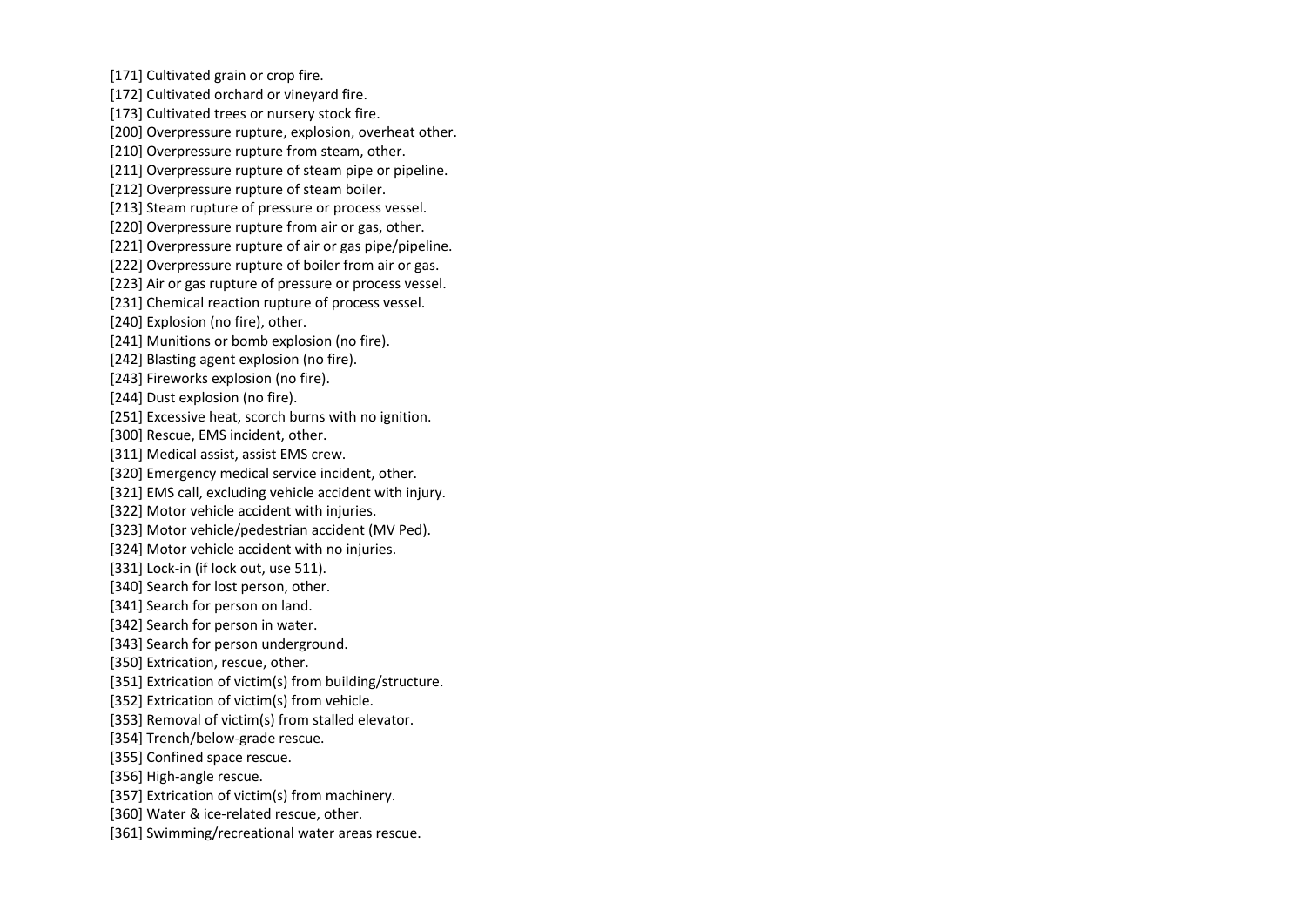[171] Cultivated grain or crop fire.

[172] Cultivated orchard or vineyard fire.

- [173] Cultivated trees or nursery stock fire.
- [200] Overpressure rupture, explosion, overheat other.
- [210] Overpressure rupture from steam, other.
- [211] Overpressure rupture of steam pipe or pipeline.
- [212] Overpressure rupture of steam boiler.
- [213] Steam rupture of pressure or process vessel.
- [220] Overpressure rupture from air or gas, other.
- [221] Overpressure rupture of air or gas pipe/pipeline.
- [222] Overpressure rupture of boiler from air or gas.
- [223] Air or gas rupture of pressure or process vessel.
- [231] Chemical reaction rupture of process vessel.
- [240] Explosion (no fire), other.
- [241] Munitions or bomb explosion (no fire).
- [242] Blasting agent explosion (no fire).
- [243] Fireworks explosion (no fire).
- [244] Dust explosion (no fire).
- [251] Excessive heat, scorch burns with no ignition.
- [300] Rescue, EMS incident, other.
- [311] Medical assist, assist EMS crew.
- [320] Emergency medical service incident, other.
- [321] EMS call, excluding vehicle accident with injury.
- [322] Motor vehicle accident with injuries.
- [323] Motor vehicle/pedestrian accident (MV Ped).
- [324] Motor vehicle accident with no injuries.
- [331] Lock-in (if lock out, use 511).
- [340] Search for lost person, other.
- [341] Search for person on land.
- [342] Search for person in water.
- [343] Search for person underground.
- [350] Extrication, rescue, other.
- [351] Extrication of victim(s) from building/structure.
- [352] Extrication of victim(s) from vehicle.
- [353] Removal of victim(s) from stalled elevator.
- [354] Trench/below-grade rescue.
- [355] Confined space rescue.
- [356] High-angle rescue.
- [357] Extrication of victim(s) from machinery.
- [360] Water & ice-related rescue, other.
- [361] Swimming/recreational water areas rescue.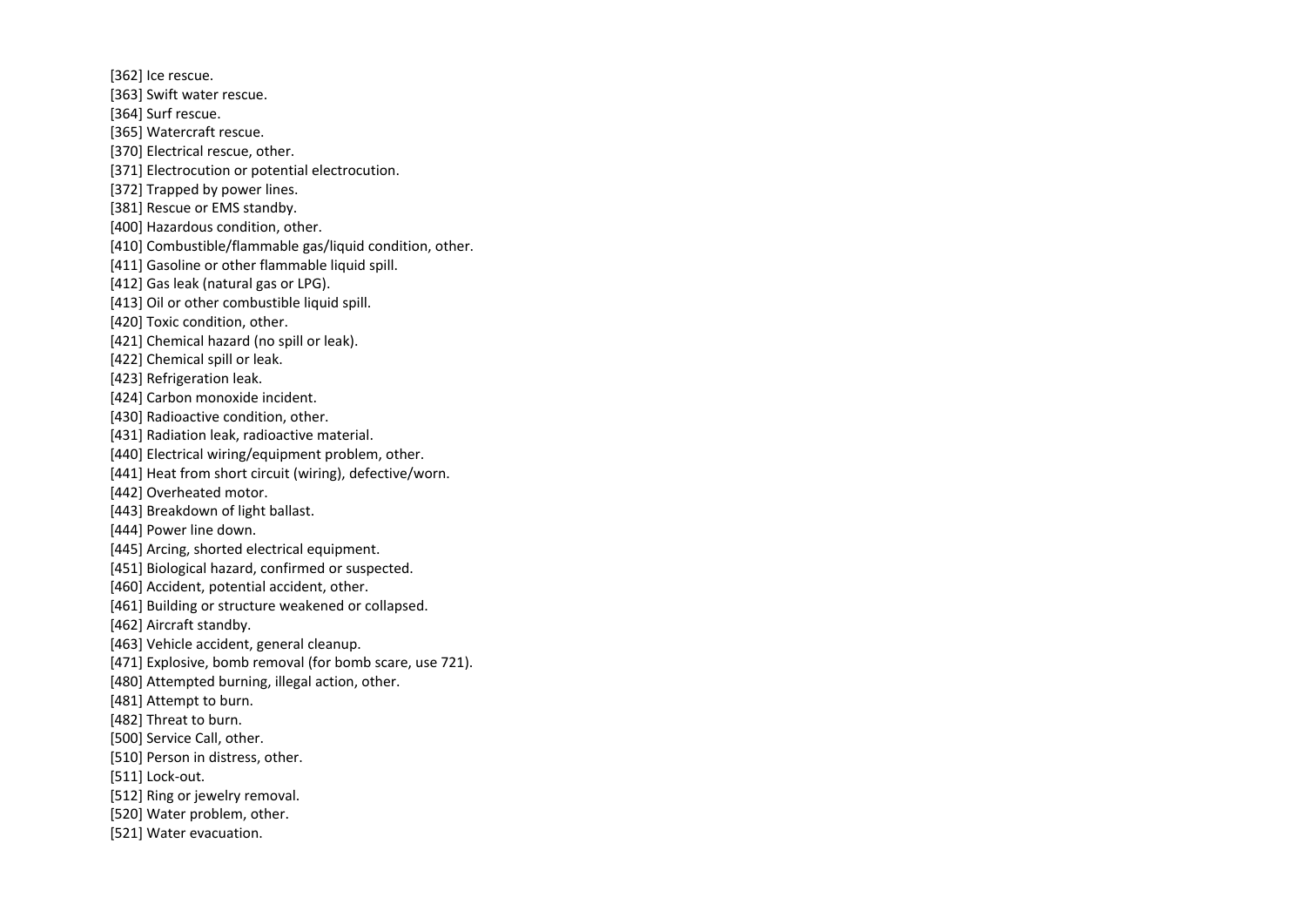[362] Ice rescue.

- [363] Swift water rescue.
- [364] Surf rescue.
- [365] Watercraft rescue.
- [370] Electrical rescue, other.
- [371] Electrocution or potential electrocution.
- [372] Trapped by power lines.
- [381] Rescue or EMS standby.
- [400] Hazardous condition, other.
- [410] Combustible/flammable gas/liquid condition, other.
- [411] Gasoline or other flammable liquid spill.
- [412] Gas leak (natural gas or LPG).
- [413] Oil or other combustible liquid spill.
- [420] Toxic condition, other.
- [421] Chemical hazard (no spill or leak).
- [422] Chemical spill or leak.
- [423] Refrigeration leak.
- [424] Carbon monoxide incident.
- [430] Radioactive condition, other.
- [431] Radiation leak, radioactive material.
- [440] Electrical wiring/equipment problem, other.
- [441] Heat from short circuit (wiring), defective/worn.
- [442] Overheated motor.
- [443] Breakdown of light ballast.
- [444] Power line down.
- [445] Arcing, shorted electrical equipment.
- [451] Biological hazard, confirmed or suspected.
- [460] Accident, potential accident, other.
- [461] Building or structure weakened or collapsed.
- [462] Aircraft standby.
- [463] Vehicle accident, general cleanup.
- [471] Explosive, bomb removal (for bomb scare, use 721).
- [480] Attempted burning, illegal action, other.
- [481] Attempt to burn.
- [482] Threat to burn.
- [500] Service Call, other.
- [510] Person in distress, other.
- [511] Lock-out.
- [512] Ring or jewelry removal.
- [520] Water problem, other.
- [521] Water evacuation.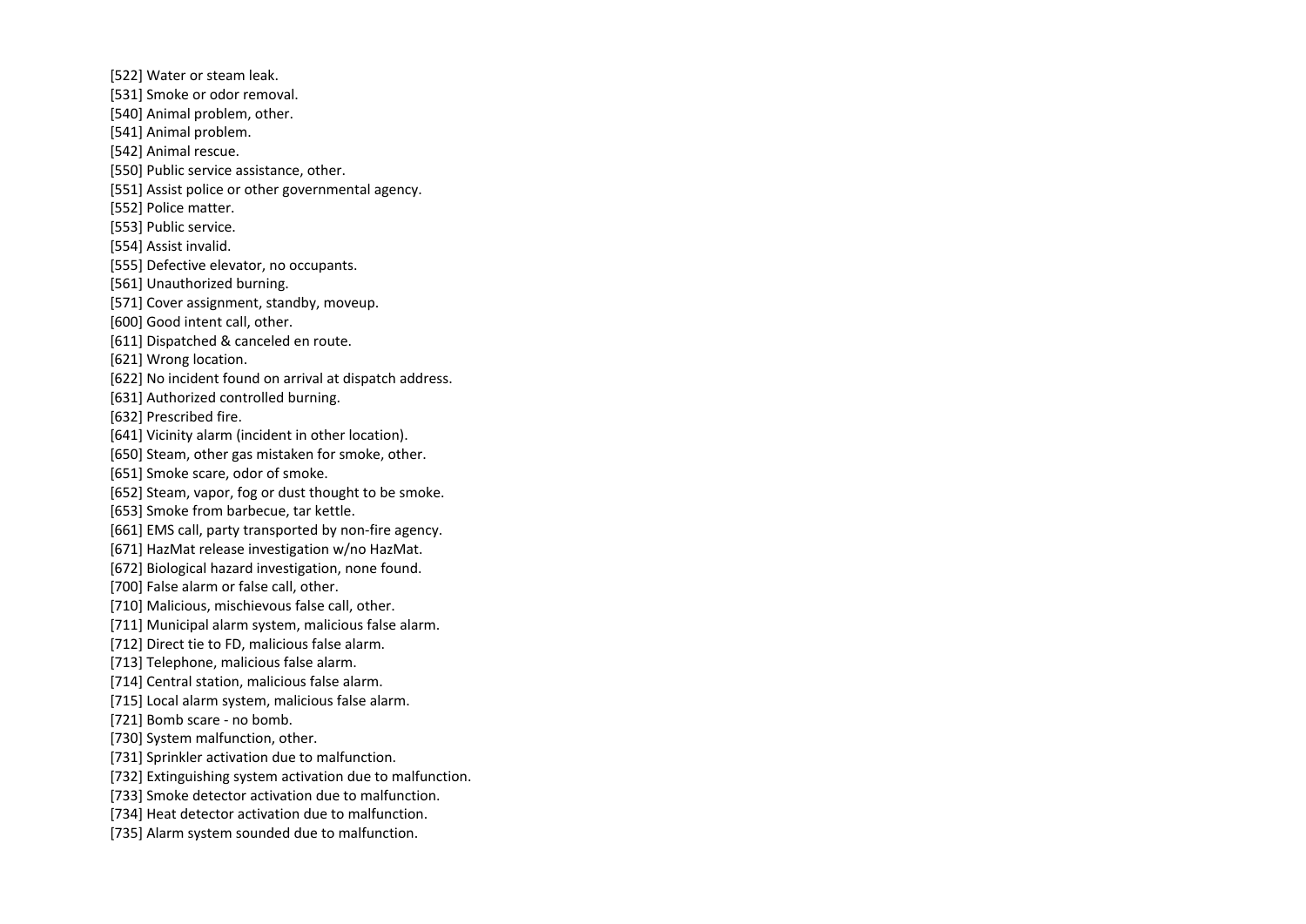- [522] Water or steam leak.
- [531] Smoke or odor removal.
- [540] Animal problem, other.
- [541] Animal problem.
- [542] Animal rescue.
- [550] Public service assistance, other.
- [551] Assist police or other governmental agency.
- [552] Police matter.
- [553] Public service.
- [554] Assist invalid.
- [555] Defective elevator, no occupants.
- [561] Unauthorized burning.
- [571] Cover assignment, standby, moveup.
- [600] Good intent call, other.
- [611] Dispatched & canceled en route.
- [621] Wrong location.
- [622] No incident found on arrival at dispatch address.
- [631] Authorized controlled burning.
- [632] Prescribed fire.
- [641] Vicinity alarm (incident in other location).
- [650] Steam, other gas mistaken for smoke, other.
- [651] Smoke scare, odor of smoke.
- [652] Steam, vapor, fog or dust thought to be smoke.
- [653] Smoke from barbecue, tar kettle.
- [661] EMS call, party transported by non-fire agency.
- [671] HazMat release investigation w/no HazMat.
- [672] Biological hazard investigation, none found.
- [700] False alarm or false call, other.
- [710] Malicious, mischievous false call, other.
- [711] Municipal alarm system, malicious false alarm.
- [712] Direct tie to FD, malicious false alarm.
- [713] Telephone, malicious false alarm.
- [714] Central station, malicious false alarm.
- [715] Local alarm system, malicious false alarm.
- [721] Bomb scare no bomb.
- [730] System malfunction, other.
- [731] Sprinkler activation due to malfunction.
- [732] Extinguishing system activation due to malfunction.
- [733] Smoke detector activation due to malfunction.
- [734] Heat detector activation due to malfunction.
- [735] Alarm system sounded due to malfunction.